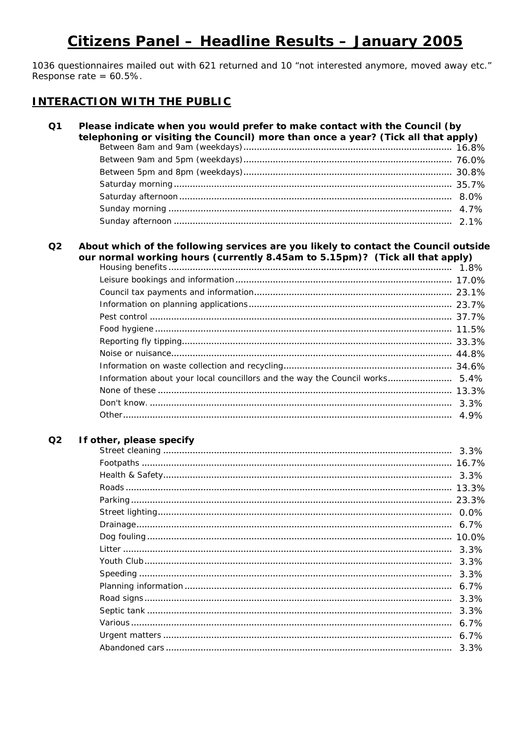# Citizens Panel - Headline Results - January 2005

1036 questionnaires mailed out with 621 returned and 10 "not interested anymore, moved away etc." Response rate =  $60.5\%$ .

## **INTERACTION WITH THE PUBLIC**

#### $\Omega$ 1 Please indicate when you would prefer to make contact with the Council (by telephoning or visiting the Council) more than once a year? (Tick all that apply)

#### About which of the following services are you likely to contact the Council outside  $Q<sub>2</sub>$ our normal working hours (currently 8.45am to 5.15pm)? (Tick all that apply)

| Information about your local councillors and the way the Council works 5.4% |  |
|-----------------------------------------------------------------------------|--|
|                                                                             |  |
|                                                                             |  |
|                                                                             |  |
|                                                                             |  |

**Contract** 

#### $Q<sub>2</sub>$ If other, please specify

|  | $6.7\%$ |
|--|---------|
|  |         |
|  | 3.3%    |
|  | 3.3%    |
|  | 3.3%    |
|  | $6.7\%$ |
|  | 3.3%    |
|  | 3.3%    |
|  | $6.7\%$ |
|  | $6.7\%$ |
|  | 3.3%    |
|  |         |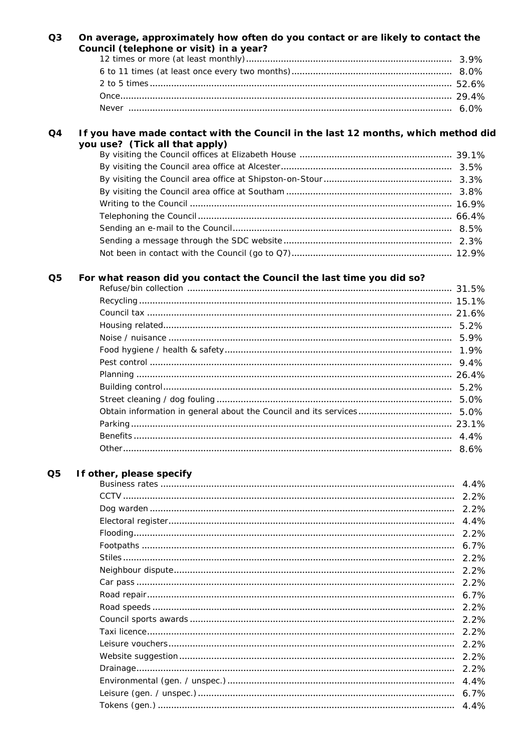|                | Council (telephone or visit) in a year?                                           |  |
|----------------|-----------------------------------------------------------------------------------|--|
|                |                                                                                   |  |
|                |                                                                                   |  |
|                |                                                                                   |  |
|                |                                                                                   |  |
|                |                                                                                   |  |
| Q4             | If you have made contact with the Council in the last 12 months, which method did |  |
|                | you use? (Tick all that apply)                                                    |  |
|                |                                                                                   |  |
|                |                                                                                   |  |
|                |                                                                                   |  |
|                |                                                                                   |  |
|                |                                                                                   |  |
|                |                                                                                   |  |
|                |                                                                                   |  |
|                |                                                                                   |  |
|                |                                                                                   |  |
| Q <sub>5</sub> | For what reason did you contact the Council the last time you did so?             |  |
|                |                                                                                   |  |
|                |                                                                                   |  |
|                |                                                                                   |  |
|                |                                                                                   |  |
|                |                                                                                   |  |
|                |                                                                                   |  |
|                |                                                                                   |  |
|                |                                                                                   |  |
|                |                                                                                   |  |
|                |                                                                                   |  |
|                |                                                                                   |  |
|                |                                                                                   |  |
|                |                                                                                   |  |

#### If other, please specify  $Q<sub>5</sub>$

|  | 4.4%    |
|--|---------|
|  | 2.2%    |
|  | 2.2%    |
|  | 4.4%    |
|  | 2.2%    |
|  | $6.7\%$ |
|  | 2.2%    |
|  | 2.2%    |
|  | 2.2%    |
|  | 6.7%    |
|  | 2.2%    |
|  | 2.2%    |
|  | 2.2%    |
|  | 2.2%    |
|  | 2.2%    |
|  | 2.2%    |
|  | 4.4%    |
|  | 6.7%    |
|  | 4.4%    |
|  |         |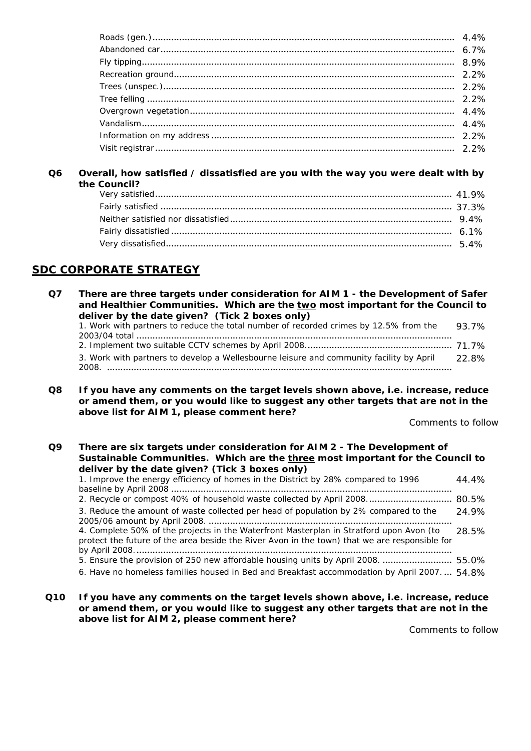#### **Q6 Overall, how satisfied / dissatisfied are you with the way you were dealt with by the Council?**

## **SDC CORPORATE STRATEGY**

| Q7 | There are three targets under consideration for AIM 1 - the Development of Safer<br>and Healthier Communities. Which are the two most important for the Council to |       |
|----|--------------------------------------------------------------------------------------------------------------------------------------------------------------------|-------|
|    | deliver by the date given? (Tick 2 boxes only)                                                                                                                     |       |
|    | 1. Work with partners to reduce the total number of recorded crimes by 12.5% from the                                                                              | 93.7% |
|    |                                                                                                                                                                    |       |
|    | 3. Work with partners to develop a Wellesbourne leisure and community facility by April<br>2008                                                                    | 22.8% |

**Q8 If you have any comments on the target levels shown above, i.e. increase, reduce or amend them, or you would like to suggest any other targets that are not in the above list for AIM 1, please comment here?**

Comments to follow

#### **Q9 There are six targets under consideration for AIM 2 - The Development of Sustainable Communities. Which are the three most important for the Council to deliver by the date given? (Tick 3 boxes only)**

| 1. Improve the energy efficiency of homes in the District by 28% compared to 1996                                                                                                        | 44.4%  |
|------------------------------------------------------------------------------------------------------------------------------------------------------------------------------------------|--------|
| 2. Recycle or compost 40% of household waste collected by April 2008 80.5%                                                                                                               |        |
| 3. Reduce the amount of waste collected per head of population by 2% compared to the                                                                                                     | 24.9%  |
| 4. Complete 50% of the projects in the Waterfront Masterplan in Stratford upon Avon (to<br>protect the future of the area beside the River Avon in the town) that we are responsible for | -28.5% |
| 5. Ensure the provision of 250 new affordable housing units by April 2008.  55.0%                                                                                                        |        |
| 6. Have no homeless families housed in Bed and Breakfast accommodation by April 2007.  54.8%                                                                                             |        |

**Q10 If you have any comments on the target levels shown above, i.e. increase, reduce or amend them, or you would like to suggest any other targets that are not in the above list for AIM 2, please comment here?**

Comments to follow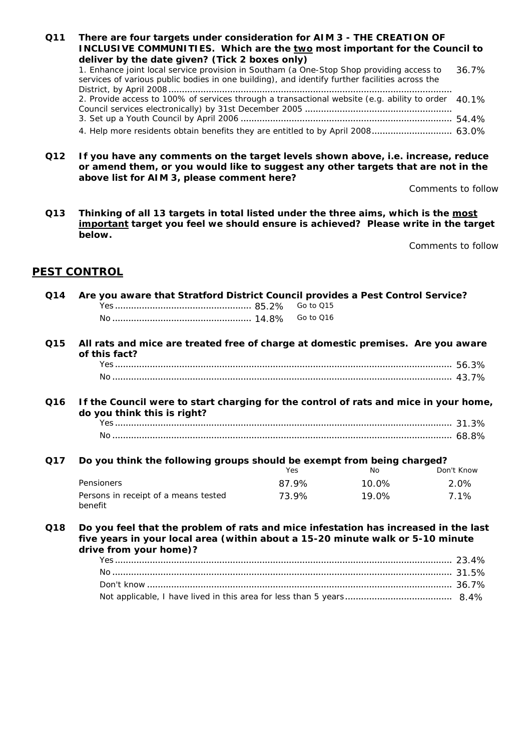- **Q11 There are four targets under consideration for AIM 3 THE CREATION OF INCLUSIVE COMMUNITIES. Which are the two most important for the Council to deliver by the date given? (Tick 2 boxes only)** *1. Enhance joint local service provision in Southam (a One-Stop Shop providing access to services of various public bodies in one building), and identify further facilities across the District, by April 2008*.......................................................................................................... 36.7% *2. Provide access to 100% of services through a transactional website (e.g. ability to order Council services electronically) by 31st December 2005* ....................................................... 40.1% *3. Set up a Youth Council by April 2006* ............................................................................... 54.4% *4. Help more residents obtain benefits they are entitled to by April 2008*.............................. 63.0%
- **Q12 If you have any comments on the target levels shown above, i.e. increase, reduce or amend them, or you would like to suggest any other targets that are not in the above list for AIM 3, please comment here?**

Comments to follow

**Q13 Thinking of all 13 targets in total listed under the three aims, which is the most important target you feel we should ensure is achieved? Please write in the target below.**

Comments to follow

## **PEST CONTROL**

| Q14 | Are you aware that Stratford District Council provides a Pest Control Service?                                                                                                                  |           |       |            |  |
|-----|-------------------------------------------------------------------------------------------------------------------------------------------------------------------------------------------------|-----------|-------|------------|--|
|     |                                                                                                                                                                                                 | Go to Q15 |       |            |  |
|     |                                                                                                                                                                                                 | Go to Q16 |       |            |  |
| Q15 | All rats and mice are treated free of charge at domestic premises. Are you aware<br>of this fact?                                                                                               |           |       |            |  |
|     |                                                                                                                                                                                                 |           |       |            |  |
|     |                                                                                                                                                                                                 |           |       |            |  |
| Q16 | If the Council were to start charging for the control of rats and mice in your home,<br>do you think this is right?                                                                             |           |       |            |  |
|     |                                                                                                                                                                                                 |           |       |            |  |
|     |                                                                                                                                                                                                 |           |       |            |  |
| Q17 | Do you think the following groups should be exempt from being charged?                                                                                                                          |           |       |            |  |
|     |                                                                                                                                                                                                 | Yes       | No    | Don't Know |  |
|     | Pensioners                                                                                                                                                                                      | 87.9%     | 10.0% | 2.0%       |  |
|     | Persons in receipt of a means tested<br>benefit                                                                                                                                                 | 73.9%     | 19.0% | 7.1%       |  |
| Q18 | Do you feel that the problem of rats and mice infestation has increased in the last<br>five years in your local area (within about a 15-20 minute walk or 5-10 minute<br>drive from your home)? |           |       |            |  |
|     |                                                                                                                                                                                                 |           |       |            |  |
|     |                                                                                                                                                                                                 |           |       |            |  |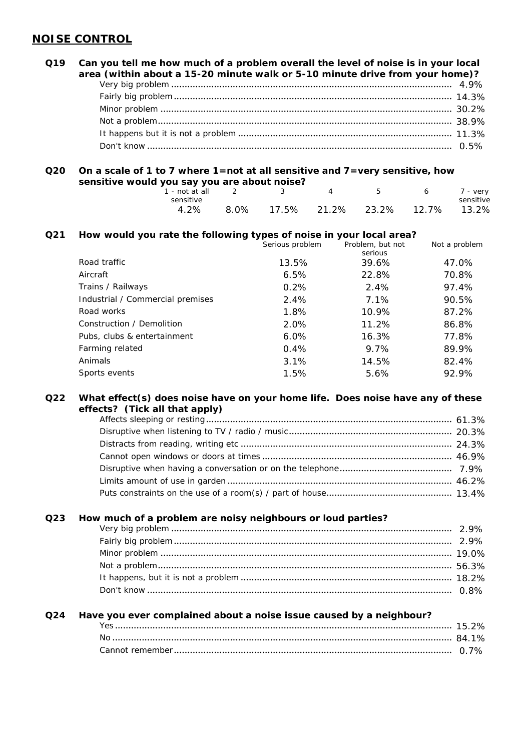## **NOISE CONTROL**

## **Q19 Can you tell me how much of a problem overall the level of noise is in your local area (within about a 15-20 minute walk or 5-10 minute drive from your home)?** *Very big problem* ......................................................................................................... 4.9% *Fairly big problem*........................................................................................................ 14.3% *Minor problem* ............................................................................................................. 30.2% *Not a problem*.............................................................................................................. 38.9% *It happens but it is not a problem* ................................................................................ 11.3% *Don't know* .................................................................................................................. 0.5%

### **Q20 On a scale of 1 to 7 where 1=not at all sensitive and 7=very sensitive, how sensitive would you say you are about noise?**

| 1 - not at all $2$ $3$ |  | $\overline{4}$ | $\sqrt{5}$                              | 6 7 - very |           |
|------------------------|--|----------------|-----------------------------------------|------------|-----------|
| sensitive              |  |                |                                         |            | sensitive |
|                        |  |                | 4.2% 8.0% 17.5% 21.2% 23.2% 12.7% 13.2% |            |           |

### **Q21 How would you rate the following types of noise in your local area?**

|                                  | Serious problem | Problem, but not<br>serious | Not a problem |
|----------------------------------|-----------------|-----------------------------|---------------|
| Road traffic                     | 13.5%           | 39.6%                       | 47.0%         |
| Aircraft                         | 6.5%            | 22.8%                       | 70.8%         |
| Trains / Railways                | 0.2%            | 2.4%                        | 97.4%         |
| Industrial / Commercial premises | 2.4%            | $7.1\%$                     | 90.5%         |
| Road works                       | 1.8%            | 10.9%                       | 87.2%         |
| Construction / Demolition        | 2.0%            | 11.2%                       | 86.8%         |
| Pubs, clubs & entertainment      | $6.0\%$         | 16.3%                       | 77.8%         |
| Farming related                  | 0.4%            | 9.7%                        | 89.9%         |
| Animals                          | 3.1%            | 14.5%                       | 82.4%         |
| Sports events                    | 1.5%            | 5.6%                        | 92.9%         |

#### **Q22 What effect(s) does noise have on your home life. Does noise have any of these effects? (Tick all that apply)**

#### **Q23 How much of a problem are noisy neighbours or loud parties?**

### **Q24 Have you ever complained about a noise issue caused by a neighbour?**

| Νc |  |  |
|----|--|--|
|    |  |  |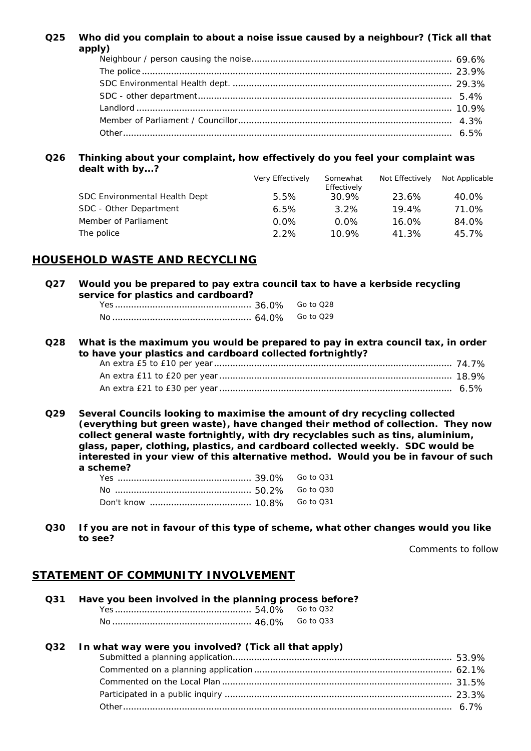### **Q25 Who did you complain to about a noise issue caused by a neighbour? (Tick all that apply)**

#### **Q26 Thinking about your complaint, how effectively do you feel your complaint was dealt with by...?**

|                                      | <b>Very Effectively</b> | Somewhat<br>Effectively | <b>Not Effectively</b> | Not Applicable |
|--------------------------------------|-------------------------|-------------------------|------------------------|----------------|
| <b>SDC Environmental Health Dept</b> | 5.5%                    | 30.9%                   | 23.6%                  | 40.0%          |
| SDC - Other Department               | 6.5%                    | $3.2\%$                 | 19.4%                  | 71.0%          |
| Member of Parliament                 | $0.0\%$                 | $0.0\%$                 | 16.0%                  | 84.0%          |
| The police                           | $2.2\%$                 | $10.9\%$                | 41.3%                  | 45.7%          |

### **HOUSEHOLD WASTE AND RECYCLING**

**Q27 Would you be prepared to pay extra council tax to have a kerbside recycling service for plastics and cardboard?**

### **Q28 What is the maximum you would be prepared to pay in extra council tax, in order to have your plastics and cardboard collected fortnightly?** *An extra £5 to £10 per year* ......................................................................................... 74.7% *An extra £11 to £20 per year* ....................................................................................... 18.9% *An extra £21 to £30 per year* ....................................................................................... 6.5%

**Q29 Several Councils looking to maximise the amount of dry recycling collected (everything but green waste), have changed their method of collection. They now collect general waste fortnightly, with dry recyclables such as tins, aluminium, glass, paper, clothing, plastics, and cardboard collected weekly. SDC would be interested in your view of this alternative method. Would you be in favour of such a scheme?** 

**Q30 If you are not in favour of this type of scheme, what other changes would you like to see?**

> *Participated in a public inquiry* ..................................................................................... 23.3% *Other*........................................................................................................................... 6.7%

Comments to follow

### **STATEMENT OF COMMUNITY INVOLVEMENT**

| Q31 | Have you been involved in the planning process before? |           |
|-----|--------------------------------------------------------|-----------|
|     |                                                        | Go to Q32 |
|     |                                                        | Go to 033 |
| Q32 | In what way were you involved? (Tick all that apply)   |           |
|     |                                                        |           |
|     |                                                        |           |
|     |                                                        |           |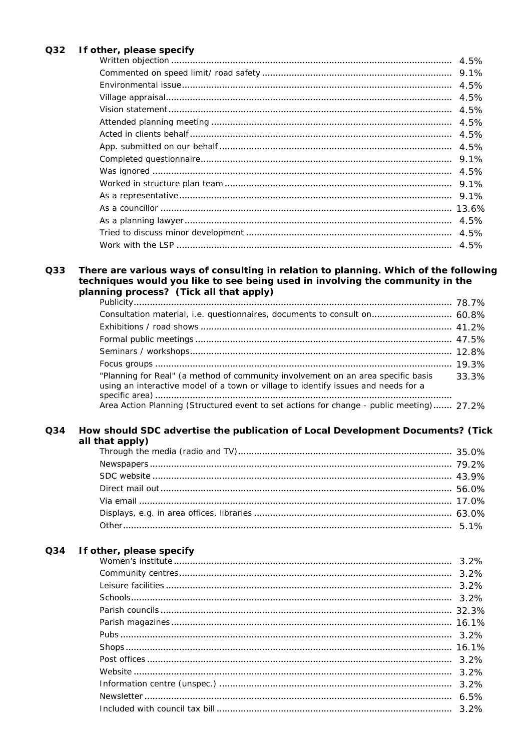### Q32 If other, please specify

|  | 4.5%  |
|--|-------|
|  | 9.1%  |
|  | 4.5%  |
|  | 4.5%  |
|  | 4.5%  |
|  | 4.5%  |
|  | 4.5%  |
|  | 4.5%  |
|  | 9.1%  |
|  | 4.5%  |
|  | 9.1%  |
|  | 9.1%  |
|  | 13.6% |
|  | 4.5%  |
|  | 4.5%  |
|  | 4.5%  |

#### There are various ways of consulting in relation to planning. Which of the following Q33 techniques would you like to see being used in involving the community in the planning process? (Tick all that apply)  $70.70'$

| Consultation material, i.e. questionnaires, documents to consult on 60.8%                                                                                              |       |
|------------------------------------------------------------------------------------------------------------------------------------------------------------------------|-------|
|                                                                                                                                                                        |       |
|                                                                                                                                                                        |       |
|                                                                                                                                                                        |       |
|                                                                                                                                                                        |       |
| "Planning for Real" (a method of community involvement on an area specific basis<br>using an interactive model of a town or village to identify issues and needs for a | 33.3% |
| Area Action Planning (Structured event to set actions for change - public meeting) 27.2%                                                                               |       |
|                                                                                                                                                                        |       |

#### Q34 How should SDC advertise the publication of Local Development Documents? (Tick all that apply)

#### Q34 If other, please specify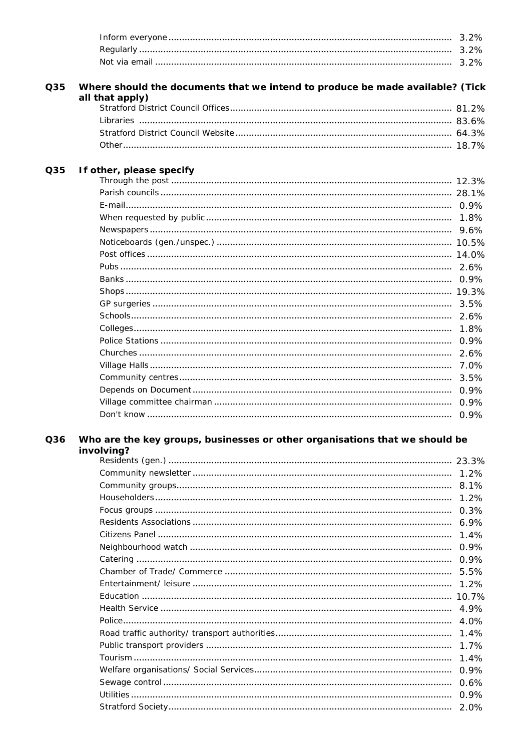|     |                                                                                                  | 3.2%    |
|-----|--------------------------------------------------------------------------------------------------|---------|
|     |                                                                                                  | 3.2%    |
|     |                                                                                                  | 3.2%    |
|     |                                                                                                  |         |
| Q35 | Where should the documents that we intend to produce be made available? (Tick<br>all that apply) |         |
|     |                                                                                                  |         |
|     |                                                                                                  |         |
|     |                                                                                                  |         |
|     |                                                                                                  |         |
| Q35 | If other, please specify                                                                         |         |
|     |                                                                                                  |         |
|     |                                                                                                  |         |
|     |                                                                                                  |         |
|     |                                                                                                  | 1.8%    |
|     |                                                                                                  |         |
|     |                                                                                                  |         |
|     |                                                                                                  |         |
|     |                                                                                                  |         |
|     |                                                                                                  |         |
|     |                                                                                                  |         |
|     |                                                                                                  | $3.5\%$ |
|     |                                                                                                  |         |
|     |                                                                                                  | 1.8%    |
|     |                                                                                                  | 0.9%    |
|     |                                                                                                  | 2.6%    |
|     |                                                                                                  | 7.0%    |
|     |                                                                                                  | 3.5%    |
|     |                                                                                                  | 0.9%    |
|     |                                                                                                  | 0.9%    |
|     |                                                                                                  | 0.9%    |
|     |                                                                                                  |         |
| Q36 | Who are the key groups, businesses or other organisations that we should be<br>involving?        |         |
|     |                                                                                                  |         |
|     |                                                                                                  | 1.2%    |
|     |                                                                                                  |         |
|     |                                                                                                  | $1.2\%$ |
|     |                                                                                                  |         |
|     |                                                                                                  | 6.9%    |
|     |                                                                                                  | 1.4%    |
|     |                                                                                                  | 0.9%    |
|     |                                                                                                  | 0.9%    |
|     |                                                                                                  | 5.5%    |
|     |                                                                                                  | 1.2%    |
|     |                                                                                                  |         |
|     |                                                                                                  |         |
|     |                                                                                                  |         |
|     |                                                                                                  | 4.0%    |
|     |                                                                                                  | 1.4%    |
|     |                                                                                                  | 1.7%    |
|     |                                                                                                  | 1.4%    |
|     |                                                                                                  | 0.9%    |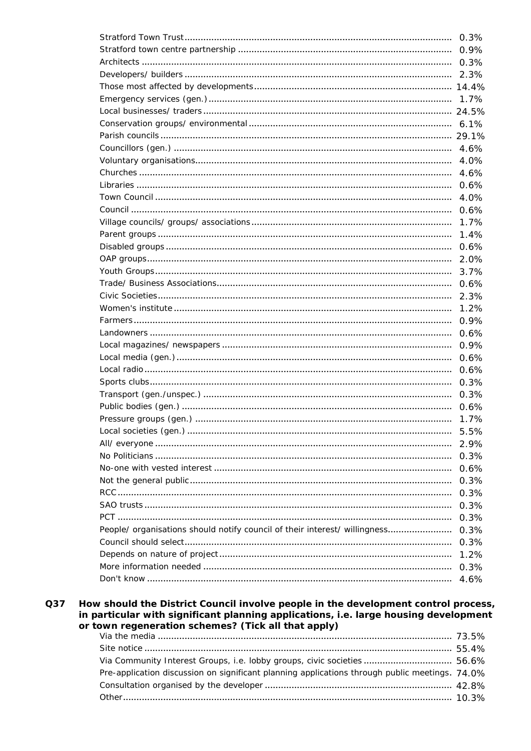|                                                                            | 0.3%         |
|----------------------------------------------------------------------------|--------------|
|                                                                            | 0.9%         |
|                                                                            |              |
|                                                                            |              |
|                                                                            |              |
|                                                                            |              |
|                                                                            |              |
|                                                                            |              |
|                                                                            |              |
|                                                                            | 4.6%         |
|                                                                            | 4.0%         |
|                                                                            | 4.6%         |
|                                                                            | 0.6%         |
|                                                                            | 4.0%         |
|                                                                            | 0.6%         |
|                                                                            | 1.7%         |
|                                                                            | 1.4%         |
|                                                                            | 0.6%         |
|                                                                            | 2.0%         |
|                                                                            | 3.7%         |
|                                                                            | 0.6%         |
|                                                                            | 2.3%         |
|                                                                            | 1.2%         |
|                                                                            | 0.9%         |
|                                                                            |              |
|                                                                            |              |
|                                                                            | 0.6%         |
|                                                                            | 0.9%         |
|                                                                            | 0.6%         |
|                                                                            | 0.6%         |
|                                                                            | 0.3%         |
|                                                                            | 0.3%         |
|                                                                            | 0.6%         |
|                                                                            | 1.7%         |
|                                                                            | 5.5%         |
|                                                                            | 2.9%         |
|                                                                            | 0.3%         |
|                                                                            | 0.6%         |
|                                                                            | 0.3%         |
|                                                                            | 0.3%         |
|                                                                            | 0.3%         |
|                                                                            | 0.3%         |
| People/ organisations should notify council of their interest/ willingness | 0.3%         |
|                                                                            | 0.3%         |
|                                                                            | 1.2%         |
|                                                                            | 0.3%<br>4.6% |

#### How should the District Council involve people in the development control process, Q37 in particular with significant planning applications, i.e. large housing development or town regeneration schemes? (Tick all that apply)

| Via Community Interest Groups, i.e. lobby groups, civic societies 56.6%                        |  |
|------------------------------------------------------------------------------------------------|--|
| Pre-application discussion on significant planning applications through public meetings. 74,0% |  |
|                                                                                                |  |
|                                                                                                |  |